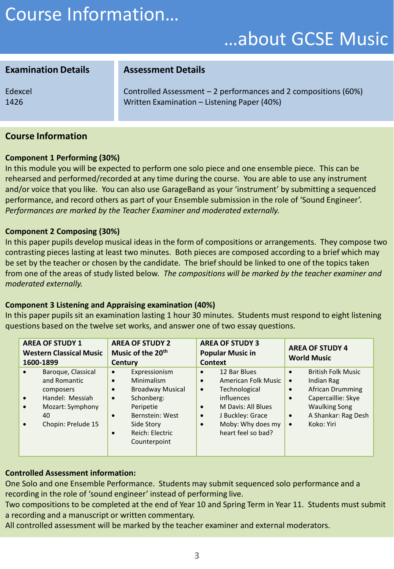# Course Information…

## …about GCSE Music

### **Examination Details**

Edexcel 1426

Controlled Assessment – 2 performances and 2 compositions (60%) Written Examination – Listening Paper (40%)

### **Course Information**

#### **Component 1 Performing (30%)**

In this module you will be expected to perform one solo piece and one ensemble piece. This can be rehearsed and performed/recorded at any time during the course. You are able to use any instrument and/or voice that you like. You can also use GarageBand as your 'instrument' by submitting a sequenced performance, and record others as part of your Ensemble submission in the role of 'Sound Engineer'. *Performances are marked by the Teacher Examiner and moderated externally.*

**Assessment Details**

#### **Component 2 Composing (30%)**

In this paper pupils develop musical ideas in the form of compositions or arrangements. They compose two contrasting pieces lasting at least two minutes. Both pieces are composed according to a brief which may be set by the teacher or chosen by the candidate. The brief should be linked to one of the topics taken from one of the areas of study listed below. *The compositions will be marked by the teacher examiner and moderated externally.*

#### **Component 3 Listening and Appraising examination (40%)**

In this paper pupils sit an examination lasting 1 hour 30 minutes. Students must respond to eight listening questions based on the twelve set works, and answer one of two essay questions.

| <b>AREA OF STUDY 1</b><br><b>Western Classical Music</b> |                                                                                                                    | <b>AREA OF STUDY 2</b><br>Music of the 20 <sup>th</sup>                    |                                                                                                                                                       | <b>AREA OF STUDY 3</b><br><b>Popular Music in</b>                          |                                                                                                                                                         | <b>AREA OF STUDY 4</b><br><b>World Music</b>                               |                                                                                                                                                       |  |
|----------------------------------------------------------|--------------------------------------------------------------------------------------------------------------------|----------------------------------------------------------------------------|-------------------------------------------------------------------------------------------------------------------------------------------------------|----------------------------------------------------------------------------|---------------------------------------------------------------------------------------------------------------------------------------------------------|----------------------------------------------------------------------------|-------------------------------------------------------------------------------------------------------------------------------------------------------|--|
| 1600-1899                                                |                                                                                                                    | Century                                                                    |                                                                                                                                                       |                                                                            | Context                                                                                                                                                 |                                                                            |                                                                                                                                                       |  |
| $\bullet$<br>$\bullet$<br>$\bullet$                      | Baroque, Classical<br>and Romantic<br>composers<br>Handel: Messiah<br>Mozart: Symphony<br>40<br>Chopin: Prelude 15 | $\bullet$<br>$\bullet$<br>$\bullet$<br>$\bullet$<br>$\bullet$<br>$\bullet$ | Expressionism<br>Minimalism<br><b>Broadway Musical</b><br>Schonberg:<br>Peripetie<br>Bernstein: West<br>Side Story<br>Reich: Electric<br>Counterpoint | $\bullet$<br>$\bullet$<br>$\bullet$<br>$\bullet$<br>$\bullet$<br>$\bullet$ | 12 Bar Blues<br>American Folk Music<br>Technological<br>influences<br>M Davis: All Blues<br>J Buckley: Grace<br>Moby: Why does my<br>heart feel so bad? | $\bullet$<br>$\bullet$<br>$\bullet$<br>$\bullet$<br>$\bullet$<br>$\bullet$ | <b>British Folk Music</b><br>Indian Rag<br><b>African Drumming</b><br>Capercaillie: Skye<br><b>Waulking Song</b><br>A Shankar: Rag Desh<br>Koko: Yiri |  |

### **Controlled Assessment information:**

One Solo and one Ensemble Performance. Students may submit sequenced solo performance and a recording in the role of 'sound engineer' instead of performing live.

Two compositions to be completed at the end of Year 10 and Spring Term in Year 11. Students must submit a recording and a manuscript or written commentary.

All controlled assessment will be marked by the teacher examiner and external moderators.